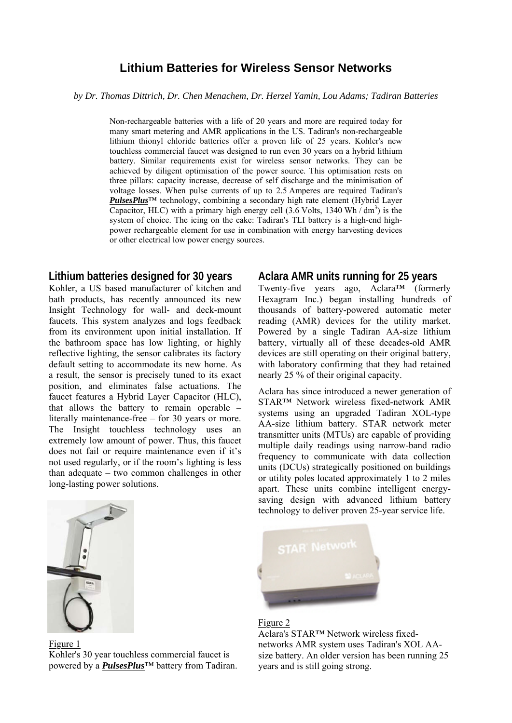# **Lithium Batteries for Wireless Sensor Networks**

*by Dr. Thomas Dittrich, Dr. Chen Menachem, Dr. Herzel Yamin, Lou Adams; Tadiran Batteries* 

Non-rechargeable batteries with a life of 20 years and more are required today for many smart metering and AMR applications in the US. Tadiran's non-rechargeable lithium thionyl chloride batteries offer a proven life of 25 years. Kohler's new touchless commercial faucet was designed to run even 30 years on a hybrid lithium battery. Similar requirements exist for wireless sensor networks. They can be achieved by diligent optimisation of the power source. This optimisation rests on three pillars: capacity increase, decrease of self discharge and the minimisation of voltage losses. When pulse currents of up to 2.5 Amperes are required Tadiran's *PulsesPlus*™ technology, combining a secondary high rate element (Hybrid Layer Capacitor, HLC) with a primary high energy cell  $(3.6 \text{ Volts}, 1340 \text{ Wh}/\text{dm}^3)$  is the system of choice. The icing on the cake: Tadiran's TLI battery is a high-end highpower rechargeable element for use in combination with energy harvesting devices or other electrical low power energy sources.

## **Lithium batteries designed for 30 years**

Kohler, a US based manufacturer of kitchen and bath products, has recently announced its new Insight Technology for wall- and deck-mount faucets. This system analyzes and logs feedback from its environment upon initial installation. If the bathroom space has low lighting, or highly reflective lighting, the sensor calibrates its factory default setting to accommodate its new home. As a result, the sensor is precisely tuned to its exact position, and eliminates false actuations. The faucet features a Hybrid Layer Capacitor (HLC), that allows the battery to remain operable – literally maintenance-free – for 30 years or more. The Insight touchless technology uses an extremely low amount of power. Thus, this faucet does not fail or require maintenance even if it's not used regularly, or if the room's lighting is less than adequate – two common challenges in other long-lasting power solutions.



Figure 1 Kohler's 30 year touchless commercial faucet is powered by a *PulsesPlus*™ battery from Tadiran.

## **Aclara AMR units running for 25 years**

Twenty-five years ago, Aclara™ (formerly Hexagram Inc.) began installing hundreds of thousands of battery-powered automatic meter reading (AMR) devices for the utility market. Powered by a single Tadiran AA-size lithium battery, virtually all of these decades-old AMR devices are still operating on their original battery, with laboratory confirming that they had retained nearly 25 % of their original capacity.

Aclara has since introduced a newer generation of STAR™ Network wireless fixed-network AMR systems using an upgraded Tadiran XOL-type AA-size lithium battery. STAR network meter transmitter units (MTUs) are capable of providing multiple daily readings using narrow-band radio frequency to communicate with data collection units (DCUs) strategically positioned on buildings or utility poles located approximately 1 to 2 miles apart. These units combine intelligent energysaving design with advanced lithium battery technology to deliver proven 25-year service life.



#### Figure 2

Aclara's STAR™ Network wireless fixednetworks AMR system uses Tadiran's XOL AAsize battery. An older version has been running 25 years and is still going strong.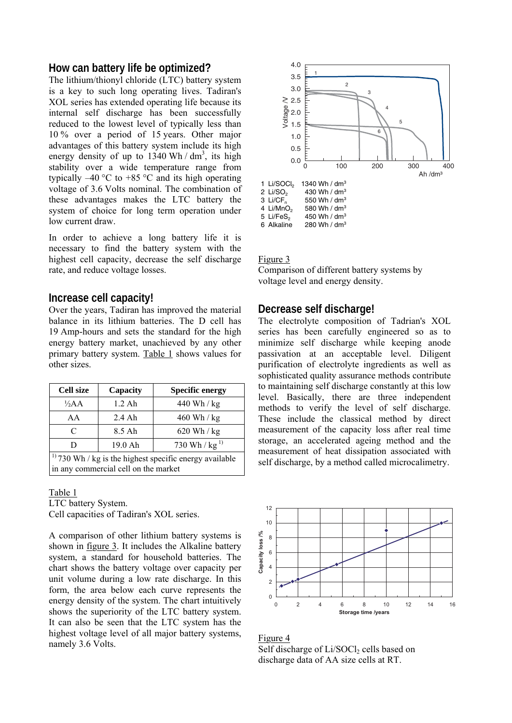## **How can battery life be optimized?**

The lithium/thionyl chloride (LTC) battery system is a key to such long operating lives. Tadiran's XOL series has extended operating life because its internal self discharge has been successfully reduced to the lowest level of typically less than 10 % over a period of 15 years. Other major advantages of this battery system include its high energy density of up to  $1340$  Wh / dm<sup>3</sup>, its high stability over a wide temperature range from typically  $-40$  °C to  $+85$  °C and its high operating voltage of 3.6 Volts nominal. The combination of these advantages makes the LTC battery the system of choice for long term operation under low current draw.

In order to achieve a long battery life it is necessary to find the battery system with the highest cell capacity, decrease the self discharge rate, and reduce voltage losses.

## **Increase cell capacity!**

Over the years, Tadiran has improved the material balance in its lithium batteries. The D cell has 19 Amp-hours and sets the standard for the high energy battery market, unachieved by any other primary battery system. Table 1 shows values for other sizes.

| <b>Cell size</b>                                             | Capacity | <b>Specific energy</b> |  |  |  |
|--------------------------------------------------------------|----------|------------------------|--|--|--|
| $\frac{1}{2}AA$                                              | $1.2$ Ah | 440 Wh / kg            |  |  |  |
| AA                                                           | $2.4$ Ah | $460$ Wh / kg          |  |  |  |
| C                                                            | 8.5 Ah   | $620$ Wh / kg          |  |  |  |
| D                                                            | 19.0 Ah  | 730 Wh / $kg^{1}$      |  |  |  |
| $1^{1}$ 730 Wh / kg is the highest specific energy available |          |                        |  |  |  |
| in any commercial cell on the market                         |          |                        |  |  |  |

#### Table 1

LTC battery System. Cell capacities of Tadiran's XOL series.

A comparison of other lithium battery systems is shown in figure 3. It includes the Alkaline battery system, a standard for household batteries. The chart shows the battery voltage over capacity per unit volume during a low rate discharge. In this form, the area below each curve represents the energy density of the system. The chart intuitively shows the superiority of the LTC battery system. It can also be seen that the LTC system has the highest voltage level of all major battery systems, namely 3.6 Volts.



#### Figure 3

Comparison of different battery systems by voltage level and energy density.

## **Decrease self discharge!**

The electrolyte composition of Tadrian's XOL series has been carefully engineered so as to minimize self discharge while keeping anode passivation at an acceptable level. Diligent purification of electrolyte ingredients as well as sophisticated quality assurance methods contribute to maintaining self discharge constantly at this low level. Basically, there are three independent methods to verify the level of self discharge. These include the classical method by direct measurement of the capacity loss after real time storage, an accelerated ageing method and the measurement of heat dissipation associated with self discharge, by a method called microcalimetry.



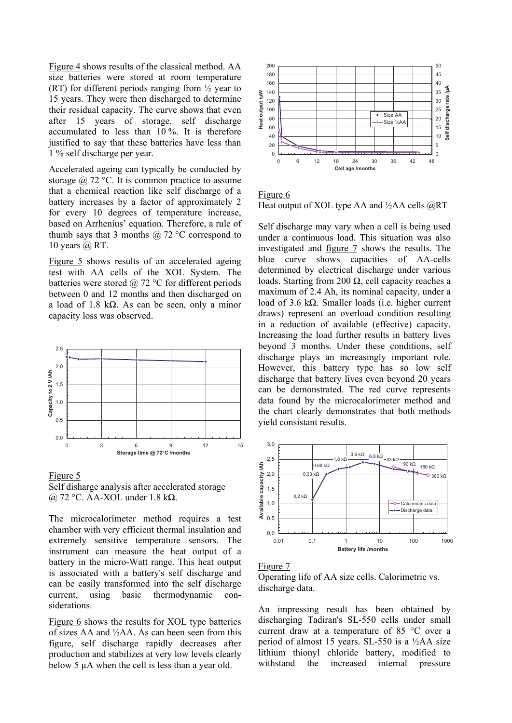Figure 4 shows results of the classical method. AA size batteries were stored at room temperature (RT) for different periods ranging from  $\frac{1}{2}$  year to 15 years. They were then discharged to determine their residual capacity. The curve shows that even after 15 years of storage, self discharge accumulated to less than 10 %. It is therefore justified to say that these batteries have less than 1 % self discharge per year.

Accelerated ageing can typically be conducted by storage  $\omega$  72 °C. It is common practice to assume that a chemical reaction like self discharge of a battery increases by a factor of approximately 2 for every 10 degrees of temperature increase, based on Arrhenius' equation. Therefore, a rule of thumb says that 3 months  $\omega$  72 °C correspond to 10 years  $@$  RT.

Figure 5 shows results of an accelerated ageing test with AA cells of the XOL System. The batteries were stored  $\omega$  72 °C for different periods between 0 and 12 months and then discharged on a load of 1.8 kΩ. As can be seen, only a minor capacity loss was observed.



#### Figure 5



The microcalorimeter method requires a test chamber with very efficient thermal insulation and extremely sensitive temperature sensors. The instrument can measure the heat output of a battery in the micro-Watt range. This heat output is associated with a battery's self discharge and can be easily transformed into the self discharge current, using basic thermodynamic considerations.

Figure 6 shows the results for XOL type batteries of sizes AA and ½AA. As can been seen from this figure, self discharge rapidly decreases after production and stabilizes at very low levels clearly below 5 µA when the cell is less than a year old.



Figure 6 Heat output of XOL type AA and  $\frac{1}{2}$ AA cells  $\widehat{\omega}$ RT

Self discharge may vary when a cell is being used under a continuous load. This situation was also investigated and figure 7 shows the results. The blue curve shows capacities of AA-cells determined by electrical discharge under various loads. Starting from 200  $\Omega$ , cell capacity reaches a maximum of 2.4 Ah, its nominal capacity, under a load of 3.6 kΩ. Smaller loads (i.e. higher current draws) represent an overload condition resulting in a reduction of available (effective) capacity. Increasing the load further results in battery lives beyond 3 months. Under these conditions, self discharge plays an increasingly important role. However, this battery type has so low self discharge that battery lives even beyond 20 years can be demonstrated. The red curve represents data found by the microcalorimeter method and the chart clearly demonstrates that both methods yield consistant results.





An impressing result has been obtained by discharging Tadiran's SL-550 cells under small current draw at a temperature of 85 °C over a period of almost 15 years. SL-550 is a ½AA size lithium thionyl chloride battery, modified to withstand the increased internal pressure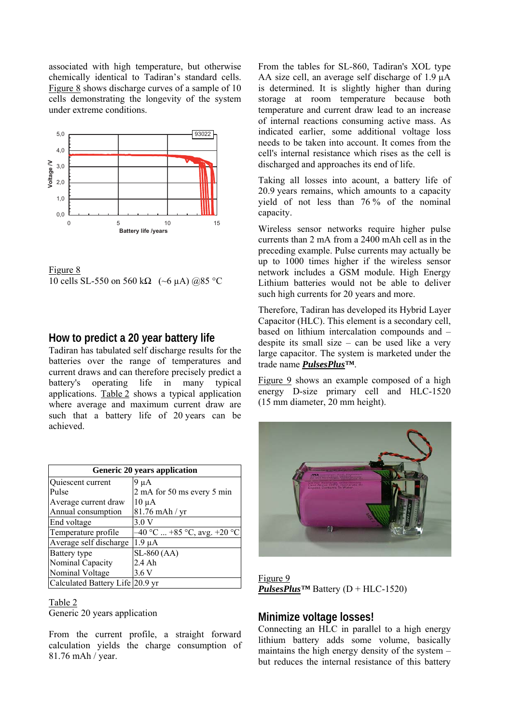associated with high temperature, but otherwise chemically identical to Tadiran's standard cells. Figure 8 shows discharge curves of a sample of 10 cells demonstrating the longevity of the system under extreme conditions.



Figure 8 10 cells SL-550 on 560 kΩ (~6 µA) @85 °C

## **How to predict a 20 year battery life**

Tadiran has tabulated self discharge results for the batteries over the range of temperatures and current draws and can therefore precisely predict a battery's operating life in many typical applications. Table 2 shows a typical application where average and maximum current draw are such that a battery life of 20 years can be achieved.

| <b>Generic 20 years application</b> |                               |  |  |  |
|-------------------------------------|-------------------------------|--|--|--|
| Quiescent current                   | 9 µ A                         |  |  |  |
| Pulse                               | 2 mA for 50 ms every 5 min    |  |  |  |
| Average current draw                | $10 \mu A$                    |  |  |  |
| Annual consumption                  | 81.76 mAh / yr                |  |  |  |
| End voltage                         | 3.0V                          |  |  |  |
| Temperature profile                 | $-40$ °C  +85 °C, avg. +20 °C |  |  |  |
| Average self discharge              | $1.9 \mu A$                   |  |  |  |
| Battery type                        | $SL-860$ (AA)                 |  |  |  |
| Nominal Capacity                    | 2.4 Ah                        |  |  |  |
| Nominal Voltage                     | 3.6 V                         |  |  |  |
| Calculated Battery Life 20.9 yr     |                               |  |  |  |

#### Table 2

Generic 20 years application

From the current profile, a straight forward calculation yields the charge consumption of 81.76 mAh / year.

From the tables for SL-860, Tadiran's XOL type AA size cell, an average self discharge of 1.9 µA is determined. It is slightly higher than during storage at room temperature because both temperature and current draw lead to an increase of internal reactions consuming active mass. As indicated earlier, some additional voltage loss needs to be taken into account. It comes from the cell's internal resistance which rises as the cell is discharged and approaches its end of life.

Taking all losses into acount, a battery life of 20.9 years remains, which amounts to a capacity yield of not less than 76 % of the nominal capacity.

Wireless sensor networks require higher pulse currents than 2 mA from a 2400 mAh cell as in the preceding example. Pulse currents may actually be up to 1000 times higher if the wireless sensor network includes a GSM module. High Energy Lithium batteries would not be able to deliver such high currents for 20 years and more.

Therefore, Tadiran has developed its Hybrid Layer Capacitor (HLC). This element is a secondary cell, based on lithium intercalation compounds and – despite its small size – can be used like a very large capacitor. The system is marketed under the trade name *PulsesPlus™*.

Figure 9 shows an example composed of a high energy D-size primary cell and HLC-1520 (15 mm diameter, 20 mm height).



Figure 9 *PulsesPlus™* Battery  $(D + HLC-1520)$ 

## **Minimize voltage losses!**

Connecting an HLC in parallel to a high energy lithium battery adds some volume, basically maintains the high energy density of the system – but reduces the internal resistance of this battery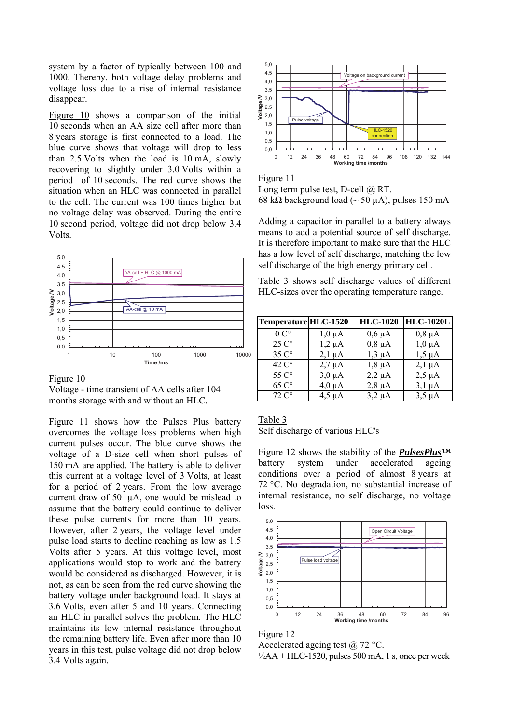system by a factor of typically between 100 and 1000. Thereby, both voltage delay problems and voltage loss due to a rise of internal resistance disappear.

Figure 10 shows a comparison of the initial 10 seconds when an AA size cell after more than 8 years storage is first connected to a load. The blue curve shows that voltage will drop to less than 2.5 Volts when the load is 10 mA, slowly recovering to slightly under 3.0 Volts within a period of 10 seconds. The red curve shows the situation when an HLC was connected in parallel to the cell. The current was 100 times higher but no voltage delay was observed. During the entire 10 second period, voltage did not drop below 3.4 Volts.





Voltage - time transient of AA cells after 104 months storage with and without an HLC.

Figure 11 shows how the Pulses Plus battery overcomes the voltage loss problems when high current pulses occur. The blue curve shows the voltage of a D-size cell when short pulses of 150 mA are applied. The battery is able to deliver this current at a voltage level of 3 Volts, at least for a period of 2 years. From the low average current draw of 50 µA, one would be mislead to assume that the battery could continue to deliver these pulse currents for more than 10 years. However, after 2 years, the voltage level under pulse load starts to decline reaching as low as 1.5 Volts after 5 years. At this voltage level, most applications would stop to work and the battery would be considered as discharged. However, it is not, as can be seen from the red curve showing the battery voltage under background load. It stays at 3.6 Volts, even after 5 and 10 years. Connecting an HLC in parallel solves the problem. The HLC maintains its low internal resistance throughout the remaining battery life. Even after more than 10 years in this test, pulse voltage did not drop below 3.4 Volts again.



Figure 11

Long term pulse test, D-cell @ RT. 68 kΩ background load ( $\sim$  50 μA), pulses 150 mA

Adding a capacitor in parallel to a battery always means to add a potential source of self discharge. It is therefore important to make sure that the HLC has a low level of self discharge, matching the low self discharge of the high energy primary cell.

Table 3 shows self discharge values of different HLC-sizes over the operating temperature range.

| Temperature HLC-1520 |             | <b>HLC-1020</b> | <b>HLC-1020L</b> |
|----------------------|-------------|-----------------|------------------|
| $0^\circ$            | 1,0 µA      | $0,6 \mu A$     | $0,8 \mu A$      |
| $25 \degree$         | $1,2 \mu A$ | $0,8 \mu A$     | $1,0 \mu A$      |
| $35C^{\circ}$        | $2,1 \mu A$ | $1,3 \mu A$     | $1,5 \mu A$      |
| $42 \degree$         | $2.7 \mu A$ | $1,8 \mu A$     | $2,1 \mu A$      |
| 55 C°                | $3,0 \mu A$ | $2,2 \mu A$     | $2.5 \mu A$      |
| $65 \degree$         | $4.0 \mu A$ | $2,8 \mu A$     | $3.1 \mu A$      |
| $72^\circ$           | 4.5 uA      | $3.2 \mu A$     | $3.5 \mu A$      |

#### Table 3 Self discharge of various HLC's

Figure 12 shows the stability of the *PulsesPlus™* battery system under accelerated ageing conditions over a period of almost 8 years at 72 °C. No degradation, no substantial increase of internal resistance, no self discharge, no voltage loss.





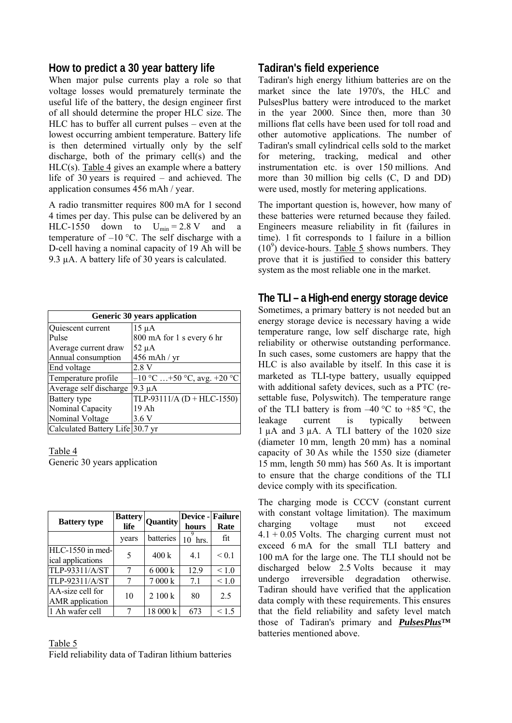## **How to predict a 30 year battery life**

When major pulse currents play a role so that voltage losses would prematurely terminate the useful life of the battery, the design engineer first of all should determine the proper HLC size. The HLC has to buffer all current pulses – even at the lowest occurring ambient temperature. Battery life is then determined virtually only by the self discharge, both of the primary cell(s) and the  $HLC(s)$ . Table 4 gives an example where a battery life of 30 years is required – and achieved. The application consumes 456 mAh / year.

A radio transmitter requires 800 mA for 1 second 4 times per day. This pulse can be delivered by an HLC-1550 down to  $U_{\text{min}} = 2.8 \text{ V}$  and a temperature of  $-10$  °C. The self discharge with a D-cell having a nominal capacity of 19 Ah will be 9.3 µA. A battery life of 30 years is calculated.

| <b>Generic 30 years application</b> |                               |  |  |  |
|-------------------------------------|-------------------------------|--|--|--|
| Quiescent current                   | 15 µA                         |  |  |  |
| Pulse                               | 800 mA for 1 s every 6 hr     |  |  |  |
| Average current draw                | 52 µA                         |  |  |  |
| Annual consumption                  | 456 mAh / yr                  |  |  |  |
| End voltage                         | 2.8V                          |  |  |  |
| Temperature profile                 | $-10$ °C  +50 °C, avg. +20 °C |  |  |  |
| Average self discharge              | $9.3 \mu A$                   |  |  |  |
| Battery type                        | TLP-93111/A $(D + HLC-1550)$  |  |  |  |
| Nominal Capacity                    | 19 Ah                         |  |  |  |
| Nominal Voltage                     | 3.6 V                         |  |  |  |
| Calculated Battery Life 30.7 yr     |                               |  |  |  |

#### Table 4 Generic 30 years application

| <b>Battery type</b>                        | <b>Battery</b><br>life | <b>Quantity</b> | <b>Device - Failure</b><br>hours | Rate            |
|--------------------------------------------|------------------------|-----------------|----------------------------------|-----------------|
|                                            | years                  | batteries       | hrs.                             | fit             |
| HLC-1550 in med-<br>ical applications      | 5                      | $400 \text{ k}$ | 4.1                              | < 0.1           |
| TLP-93311/A/ST                             | 7                      | 6 000 k         | 12.9                             | < 1.0           |
| TLP-92311/A/ST                             |                        | 7000 k          | 7.1                              | ${}_{\leq 1.0}$ |
| AA-size cell for<br><b>AMR</b> application | 10                     | 2 100 k         | 80                               | 2.5             |
| 1 Ah wafer cell                            |                        | 18 000 k        | 673                              | 1.5             |

### Table 5 Field reliability data of Tadiran lithium batteries

# **Tadiran's field experience**

Tadiran's high energy lithium batteries are on the market since the late 1970's, the HLC and PulsesPlus battery were introduced to the market in the year 2000. Since then, more than 30 millions flat cells have been used for toll road and other automotive applications. The number of Tadiran's small cylindrical cells sold to the market for metering, tracking, medical and other instrumentation etc. is over 150 millions. And more than 30 million big cells (C, D and DD) were used, mostly for metering applications.

The important question is, however, how many of these batteries were returned because they failed. Engineers measure reliability in fit (failures in time). 1 fit corresponds to 1 failure in a billion  $(10^9)$  device-hours. Table 5 shows numbers. They prove that it is justified to consider this battery system as the most reliable one in the market.

# **The TLI – a High-end energy storage device**

Sometimes, a primary battery is not needed but an energy storage device is necessary having a wide temperature range, low self discharge rate, high reliability or otherwise outstanding performance. In such cases, some customers are happy that the HLC is also available by itself. In this case it is marketed as TLΙ-type battery, usually equipped with additional safety devices, such as a PTC (resettable fuse, Polyswitch). The temperature range of the TLI battery is from  $-40^{\circ}$ C to +85 °C, the leakage current is typically between 1 µA and 3 µA. A TLI battery of the 1020 size (diameter 10 mm, length 20 mm) has a nominal capacity of 30 As while the 1550 size (diameter 15 mm, length 50 mm) has 560 As. It is important to ensure that the charge conditions of the TLΙ device comply with its specification.

The charging mode is CCCV (constant current with constant voltage limitation). The maximum charging voltage must not exceed 4.1 + 0.05 Volts. The charging current must not exceed 6 mA for the small TLI battery and 100 mA for the large one. The TLΙ should not be discharged below 2.5 Volts because it may undergo irreversible degradation otherwise. Tadiran should have verified that the application data comply with these requirements. This ensures that the field reliability and safety level match those of Tadiran's primary and *PulsesPlus***™** batteries mentioned above.